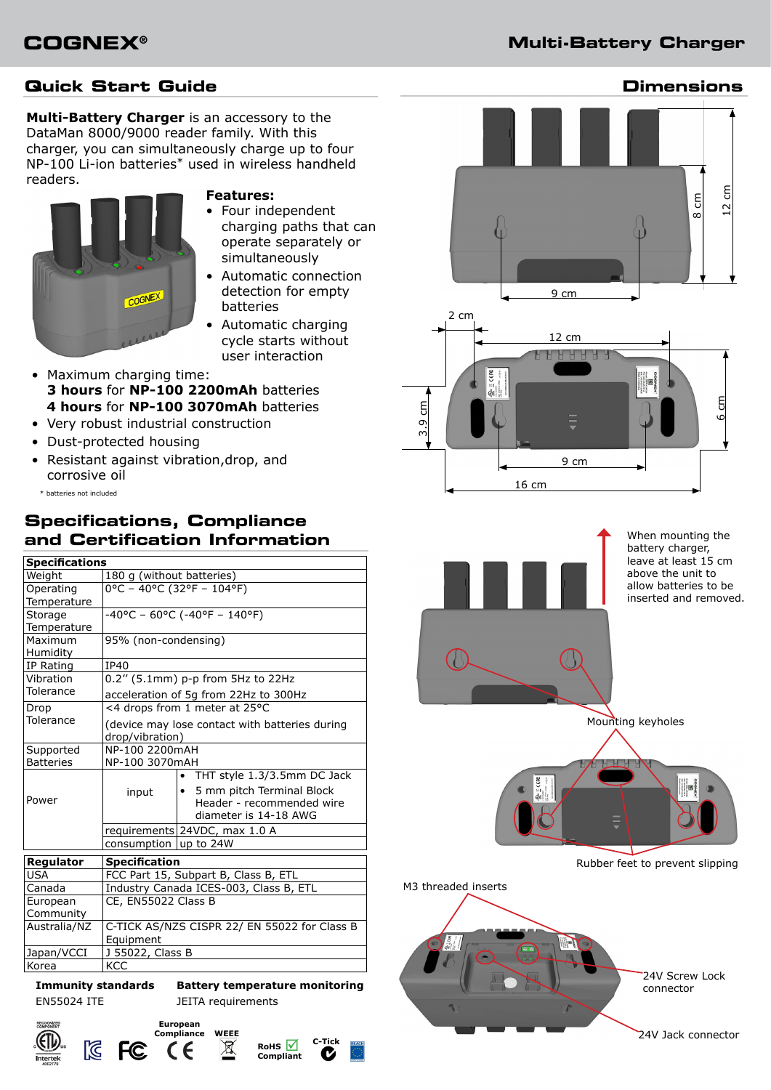**Dimensions**

### **Quick Start Guide**

**Multi-Battery Charger** is an accessory to the DataMan 8000/9000 reader family. With this charger, you can simultaneously charge up to four NP-100 Li-ion batteries\* used in wireless handheld readers.



### **Features:**

- • Four independent charging paths that can operate separately or simultaneously
- • Automatic connection detection for empty batteries
- • Automatic charging cycle starts without user interaction
- Maximum charging time: **3 hours** for **NP-100 2200mAh** batteries **4 hours** for **NP-100 3070mAh** batteries
- • Very robust industrial construction
- Dust-protected housing
- • Resistant against vibration,drop, and corrosive oil

\* batteries not included

### **Specifications, Compliance and Certification Information**

| <b>Specifications</b> |                                                |                               |
|-----------------------|------------------------------------------------|-------------------------------|
| Weight                | 180 g (without batteries)                      |                               |
| Operating             | 0°C - 40°C (32°F - 104°F)                      |                               |
| Temperature           |                                                |                               |
| Storage               | $-40^{\circ}$ C – 60°C (-40°F – 140°F)         |                               |
| Temperature           |                                                |                               |
| Maximum               | 95% (non-condensing)                           |                               |
| Humidity              |                                                |                               |
| IP Rating             | IP40                                           |                               |
| Vibration             | 0.2" (5.1mm) p-p from 5Hz to 22Hz              |                               |
| Tolerance             | acceleration of 5g from 22Hz to 300Hz          |                               |
| Drop                  | <4 drops from 1 meter at 25°C                  |                               |
| Tolerance             | (device may lose contact with batteries during |                               |
|                       | drop/vibration)                                |                               |
| Supported             | NP-100 2200mAH                                 |                               |
| <b>Batteries</b>      | NP-100 3070mAH                                 |                               |
|                       |                                                | THT style 1.3/3.5mm DC Jack   |
|                       | input                                          | • 5 mm pitch Terminal Block   |
| Power                 |                                                | Header - recommended wire     |
|                       |                                                | diameter is 14-18 AWG         |
|                       |                                                | requirements 24VDC, max 1.0 A |
|                       | consumption $\vert$ up to 24W                  |                               |
| Regulator             | <b>Specification</b>                           |                               |
| <b>USA</b>            | FCC Part 15, Subpart B, Class B, ETL           |                               |
| Canada                | Industry Canada ICES-003, Class B, ETL         |                               |
| European              | CE, EN55022 Class B                            |                               |
| Community             |                                                |                               |
| Australia/NZ          | C-TICK AS/NZS CISPR 22/ EN 55022 for Class B   |                               |
| Equipment             |                                                |                               |
| Japan/VCCI            | J 55022, Class B                               |                               |
| Korea                 | KCC                                            |                               |

**Immunity standards** EN55024 ITE

**Battery temperature monitoring** JEITA requirements



冈



**European** 

 $\epsilon$ 











When mounting the battery charger, leave at least 15 cm above the unit to allow batteries to be inserted and removed.

Mounting keyholes

Rubber feet to prevent slipping